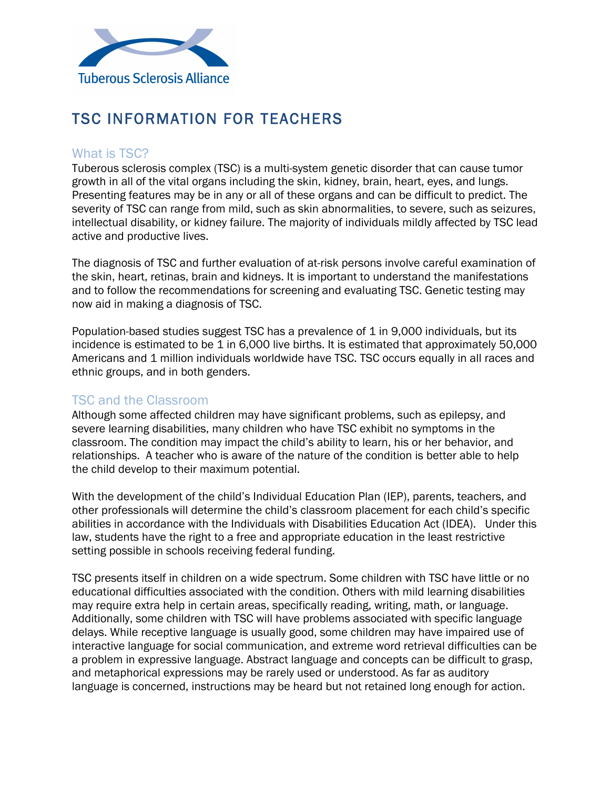

## TSC INFORMATION FOR TEACHERS

## What is TSC?

Tuberous sclerosis complex (TSC) is a multi-system genetic disorder that can cause tumor growth in all of the vital organs including the skin, kidney, brain, heart, eyes, and lungs. Presenting features may be in any or all of these organs and can be difficult to predict. The severity of TSC can range from mild, such as skin abnormalities, to severe, such as seizures, intellectual disability, or kidney failure. The majority of individuals mildly affected by TSC lead active and productive lives.

The diagnosis of TSC and further evaluation of at-risk persons involve careful examination of the skin, heart, retinas, brain and kidneys. It is important to understand the manifestations and to follow the recommendations for screening and evaluating TSC. Genetic testing may now aid in making a diagnosis of TSC.

Population-based studies suggest TSC has a prevalence of 1 in 9,000 individuals, but its incidence is estimated to be 1 in 6,000 live births. It is estimated that approximately 50,000 Americans and 1 million individuals worldwide have TSC. TSC occurs equally in all races and ethnic groups, and in both genders.

## TSC and the Classroom

Although some affected children may have significant problems, such as epilepsy, and severe learning disabilities, many children who have TSC exhibit no symptoms in the classroom. The condition may impact the child's ability to learn, his or her behavior, and relationships. A teacher who is aware of the nature of the condition is better able to help the child develop to their maximum potential.

With the development of the child's Individual Education Plan (IEP), parents, teachers, and other professionals will determine the child's classroom placement for each child's specific abilities in accordance with the Individuals with Disabilities Education Act (IDEA). Under this law, students have the right to a free and appropriate education in the least restrictive setting possible in schools receiving federal funding.

TSC presents itself in children on a wide spectrum. Some children with TSC have little or no educational difficulties associated with the condition. Others with mild learning disabilities may require extra help in certain areas, specifically reading, writing, math, or language. Additionally, some children with TSC will have problems associated with specific language delays. While receptive language is usually good, some children may have impaired use of interactive language for social communication, and extreme word retrieval difficulties can be a problem in expressive language. Abstract language and concepts can be difficult to grasp, and metaphorical expressions may be rarely used or understood. As far as auditory language is concerned, instructions may be heard but not retained long enough for action.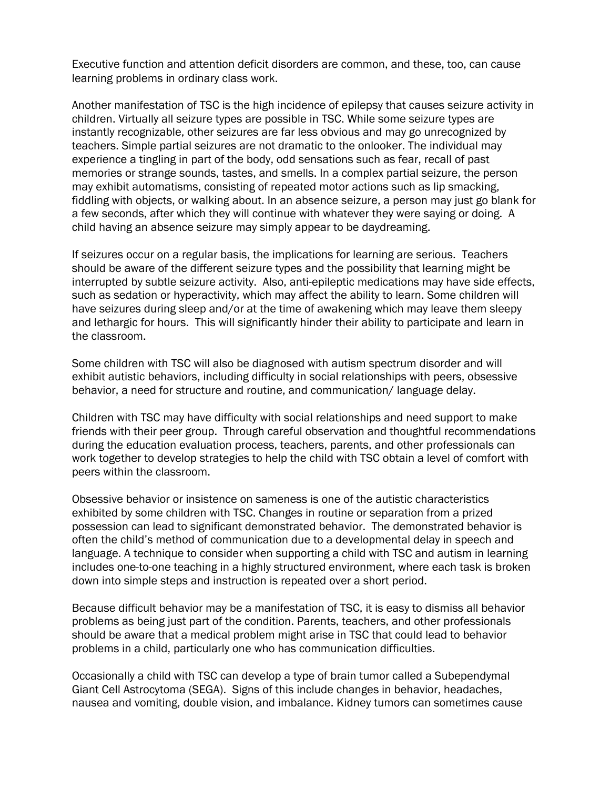Executive function and attention deficit disorders are common, and these, too, can cause learning problems in ordinary class work.

Another manifestation of TSC is the high incidence of epilepsy that causes seizure activity in children. Virtually all seizure types are possible in TSC. While some seizure types are instantly recognizable, other seizures are far less obvious and may go unrecognized by teachers. Simple partial seizures are not dramatic to the onlooker. The individual may experience a tingling in part of the body, odd sensations such as fear, recall of past memories or strange sounds, tastes, and smells. In a complex partial seizure, the person may exhibit automatisms, consisting of repeated motor actions such as lip smacking, fiddling with objects, or walking about. In an absence seizure, a person may just go blank for a few seconds, after which they will continue with whatever they were saying or doing. A child having an absence seizure may simply appear to be daydreaming.

If seizures occur on a regular basis, the implications for learning are serious. Teachers should be aware of the different seizure types and the possibility that learning might be interrupted by subtle seizure activity. Also, anti-epileptic medications may have side effects, such as sedation or hyperactivity, which may affect the ability to learn. Some children will have seizures during sleep and/or at the time of awakening which may leave them sleepy and lethargic for hours. This will significantly hinder their ability to participate and learn in the classroom.

Some children with TSC will also be diagnosed with autism spectrum disorder and will exhibit autistic behaviors, including difficulty in social relationships with peers, obsessive behavior, a need for structure and routine, and communication/ language delay.

Children with TSC may have difficulty with social relationships and need support to make friends with their peer group. Through careful observation and thoughtful recommendations during the education evaluation process, teachers, parents, and other professionals can work together to develop strategies to help the child with TSC obtain a level of comfort with peers within the classroom.

Obsessive behavior or insistence on sameness is one of the autistic characteristics exhibited by some children with TSC. Changes in routine or separation from a prized possession can lead to significant demonstrated behavior. The demonstrated behavior is often the child's method of communication due to a developmental delay in speech and language. A technique to consider when supporting a child with TSC and autism in learning includes one-to-one teaching in a highly structured environment, where each task is broken down into simple steps and instruction is repeated over a short period.

Because difficult behavior may be a manifestation of TSC, it is easy to dismiss all behavior problems as being just part of the condition. Parents, teachers, and other professionals should be aware that a medical problem might arise in TSC that could lead to behavior problems in a child, particularly one who has communication difficulties.

Occasionally a child with TSC can develop a type of brain tumor called a Subependymal Giant Cell Astrocytoma (SEGA). Signs of this include changes in behavior, headaches, nausea and vomiting, double vision, and imbalance. Kidney tumors can sometimes cause